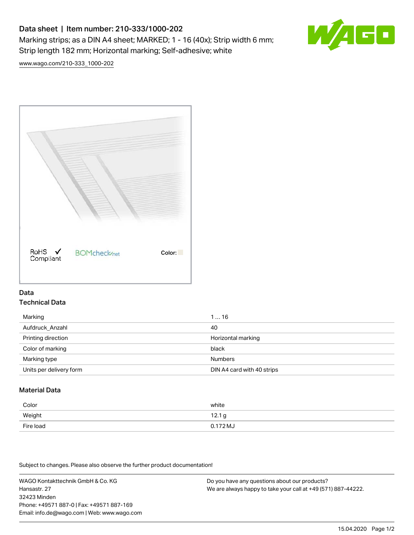# Data sheet | Item number: 210-333/1000-202 Marking strips; as a DIN A4 sheet; MARKED; 1 - 16 (40x); Strip width 6 mm; Strip length 182 mm; Horizontal marking; Self-adhesive; white



[www.wago.com/210-333\\_1000-202](http://www.wago.com/210-333_1000-202)



### Data Technical Data

| Marking                 | 116                        |
|-------------------------|----------------------------|
| Aufdruck_Anzahl         | 40                         |
| Printing direction      | Horizontal marking         |
| Color of marking        | black                      |
| Marking type            | <b>Numbers</b>             |
| Units per delivery form | DIN A4 card with 40 strips |

## Material Data

| Color     | white                |
|-----------|----------------------|
| Weight    | 12.1 g               |
| Fire load | 0.172 M <sub>o</sub> |

Subject to changes. Please also observe the further product documentation!

WAGO Kontakttechnik GmbH & Co. KG Hansastr. 27 32423 Minden Phone: +49571 887-0 | Fax: +49571 887-169 Email: info.de@wago.com | Web: www.wago.com Do you have any questions about our products? We are always happy to take your call at +49 (571) 887-44222.